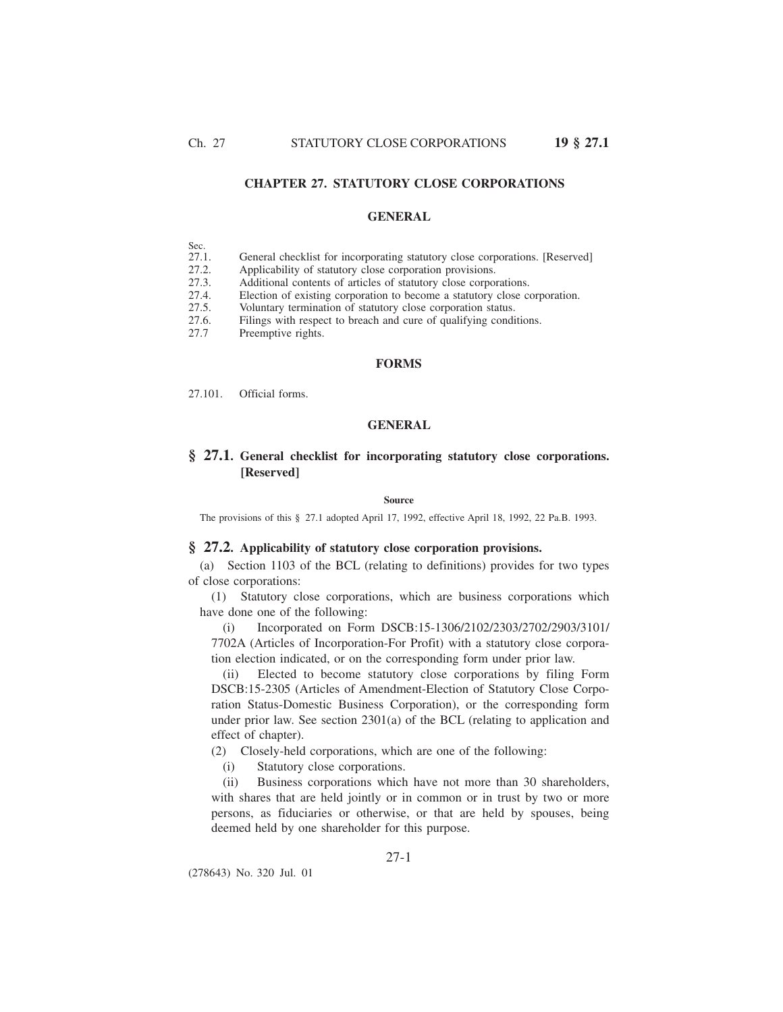# **CHAPTER 27. STATUTORY CLOSE CORPORATIONS**

## **GENERAL**

|   | ., | œ<br>I |  |
|---|----|--------|--|
| . |    |        |  |

- 27.1. General checklist for incorporating statutory close corporations. [Reserved]
- 27.2. Applicability of statutory close corporation provisions.<br>27.3. Additional contents of articles of statutory close corpo
- 27.3. Additional contents of articles of statutory close corporations.<br>27.4. Election of existing corporation to become a statutory close co
- 27.4. Election of existing corporation to become a statutory close corporation.<br>27.5. Voluntary termination of statutory close corporation status.
- Voluntary termination of statutory close corporation status.
- 27.6. Filings with respect to breach and cure of qualifying conditions.
- 27.7 Preemptive rights.

### **FORMS**

27.101. Official forms.

## **GENERAL**

# **§ 27.1. General checklist for incorporating statutory close corporations. [Reserved]**

**Source**

The provisions of this § 27.1 adopted April 17, 1992, effective April 18, 1992, 22 Pa.B. 1993.

# **§ 27.2. Applicability of statutory close corporation provisions.**

(a) Section 1103 of the BCL (relating to definitions) provides for two types of close corporations:

(1) Statutory close corporations, which are business corporations which have done one of the following:

(i) Incorporated on Form DSCB:15-1306/2102/2303/2702/2903/3101/ 7702A (Articles of Incorporation-For Profit) with a statutory close corporation election indicated, or on the corresponding form under prior law.

(ii) Elected to become statutory close corporations by filing Form DSCB:15-2305 (Articles of Amendment-Election of Statutory Close Corporation Status-Domestic Business Corporation), or the corresponding form under prior law. See section 2301(a) of the BCL (relating to application and effect of chapter).

(2) Closely-held corporations, which are one of the following:

(i) Statutory close corporations.

(ii) Business corporations which have not more than 30 shareholders, with shares that are held jointly or in common or in trust by two or more persons, as fiduciaries or otherwise, or that are held by spouses, being deemed held by one shareholder for this purpose.

(278643) No. 320 Jul. 01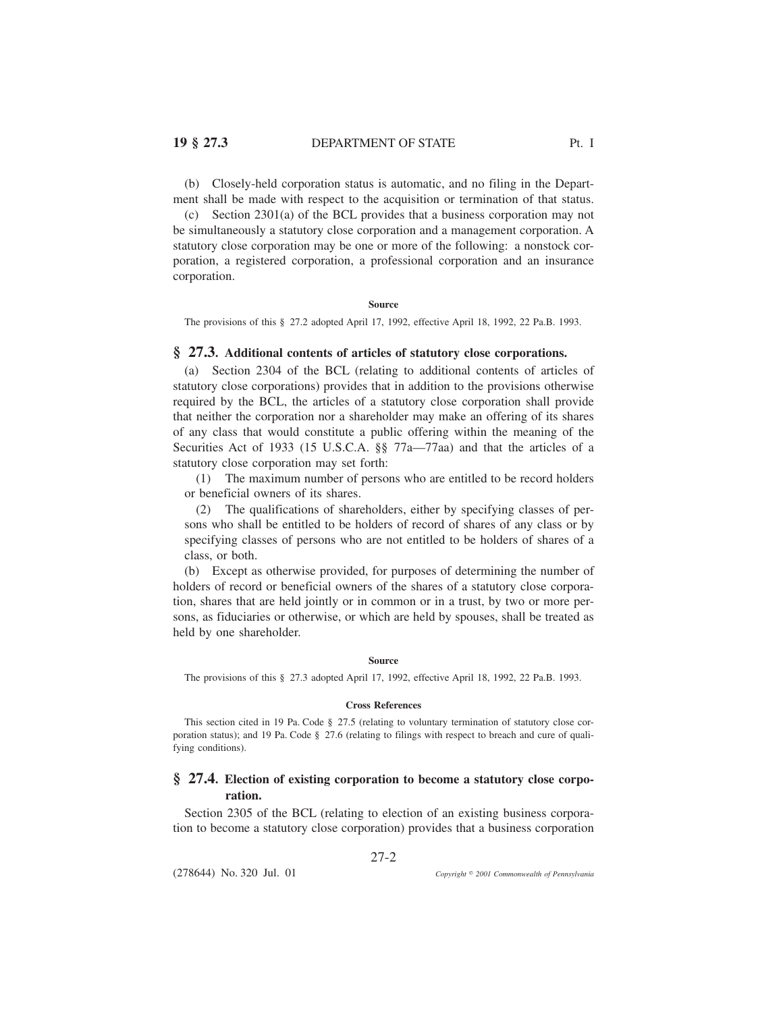# **19 § 27.3** DEPARTMENT OF STATE Pt. I

(b) Closely-held corporation status is automatic, and no filing in the Department shall be made with respect to the acquisition or termination of that status.

(c) Section 2301(a) of the BCL provides that a business corporation may not be simultaneously a statutory close corporation and a management corporation. A statutory close corporation may be one or more of the following: a nonstock corporation, a registered corporation, a professional corporation and an insurance corporation.

**Source**

The provisions of this § 27.2 adopted April 17, 1992, effective April 18, 1992, 22 Pa.B. 1993.

## **§ 27.3. Additional contents of articles of statutory close corporations.**

(a) Section 2304 of the BCL (relating to additional contents of articles of statutory close corporations) provides that in addition to the provisions otherwise required by the BCL, the articles of a statutory close corporation shall provide that neither the corporation nor a shareholder may make an offering of its shares of any class that would constitute a public offering within the meaning of the Securities Act of 1933 (15 U.S.C.A. §§ 77a—77aa) and that the articles of a statutory close corporation may set forth:

(1) The maximum number of persons who are entitled to be record holders or beneficial owners of its shares.

(2) The qualifications of shareholders, either by specifying classes of persons who shall be entitled to be holders of record of shares of any class or by specifying classes of persons who are not entitled to be holders of shares of a class, or both.

(b) Except as otherwise provided, for purposes of determining the number of holders of record or beneficial owners of the shares of a statutory close corporation, shares that are held jointly or in common or in a trust, by two or more persons, as fiduciaries or otherwise, or which are held by spouses, shall be treated as held by one shareholder.

### **Source**

The provisions of this § 27.3 adopted April 17, 1992, effective April 18, 1992, 22 Pa.B. 1993.

#### **Cross References**

This section cited in 19 Pa. Code § 27.5 (relating to voluntary termination of statutory close corporation status); and 19 Pa. Code § 27.6 (relating to filings with respect to breach and cure of qualifying conditions).

# **§ 27.4. Election of existing corporation to become a statutory close corporation.**

Section 2305 of the BCL (relating to election of an existing business corporation to become a statutory close corporation) provides that a business corporation

27-2

(278644) No. 320 Jul. 01

*2001 Commonwealth of Pennsylvania*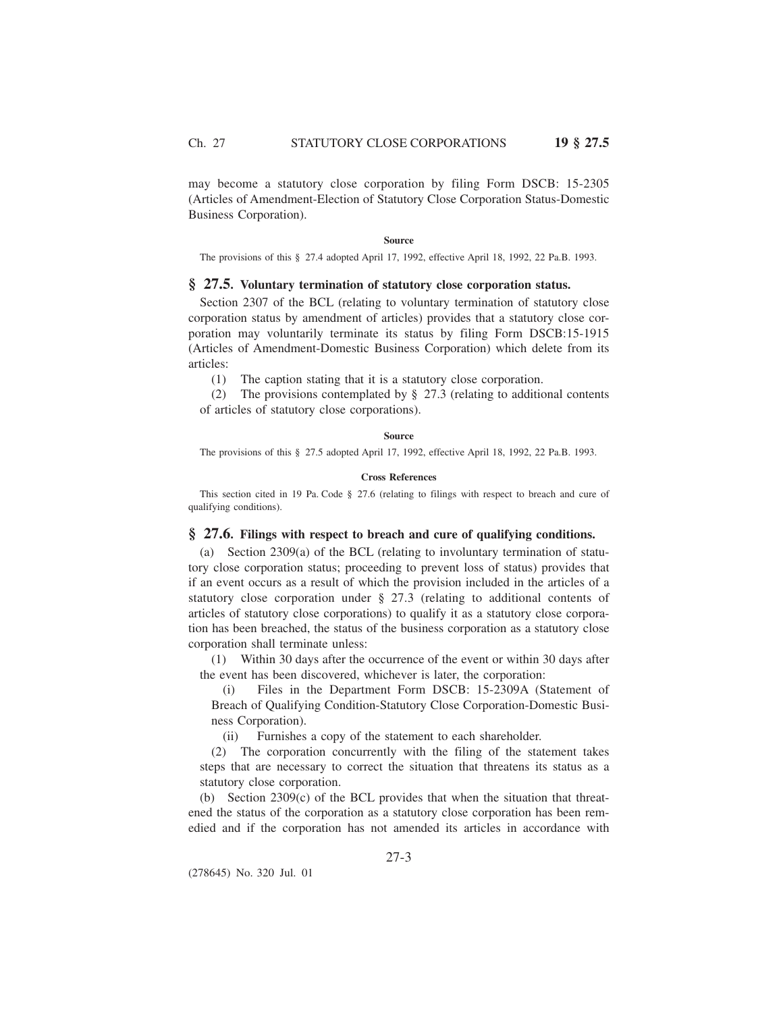may become a statutory close corporation by filing Form DSCB: 15-2305 (Articles of Amendment-Election of Statutory Close Corporation Status-Domestic Business Corporation).

#### **Source**

The provisions of this § 27.4 adopted April 17, 1992, effective April 18, 1992, 22 Pa.B. 1993.

# **§ 27.5. Voluntary termination of statutory close corporation status.**

Section 2307 of the BCL (relating to voluntary termination of statutory close corporation status by amendment of articles) provides that a statutory close corporation may voluntarily terminate its status by filing Form DSCB:15-1915 (Articles of Amendment-Domestic Business Corporation) which delete from its articles:

(1) The caption stating that it is a statutory close corporation.

(2) The provisions contemplated by § 27.3 (relating to additional contents of articles of statutory close corporations).

### **Source**

The provisions of this § 27.5 adopted April 17, 1992, effective April 18, 1992, 22 Pa.B. 1993.

#### **Cross References**

This section cited in 19 Pa. Code § 27.6 (relating to filings with respect to breach and cure of qualifying conditions).

## **§ 27.6. Filings with respect to breach and cure of qualifying conditions.**

(a) Section 2309(a) of the BCL (relating to involuntary termination of statutory close corporation status; proceeding to prevent loss of status) provides that if an event occurs as a result of which the provision included in the articles of a statutory close corporation under § 27.3 (relating to additional contents of articles of statutory close corporations) to qualify it as a statutory close corporation has been breached, the status of the business corporation as a statutory close corporation shall terminate unless:

(1) Within 30 days after the occurrence of the event or within 30 days after the event has been discovered, whichever is later, the corporation:

(i) Files in the Department Form DSCB: 15-2309A (Statement of Breach of Qualifying Condition-Statutory Close Corporation-Domestic Business Corporation).

(ii) Furnishes a copy of the statement to each shareholder.

(2) The corporation concurrently with the filing of the statement takes steps that are necessary to correct the situation that threatens its status as a statutory close corporation.

(b) Section 2309(c) of the BCL provides that when the situation that threatened the status of the corporation as a statutory close corporation has been remedied and if the corporation has not amended its articles in accordance with

(278645) No. 320 Jul. 01

27-3